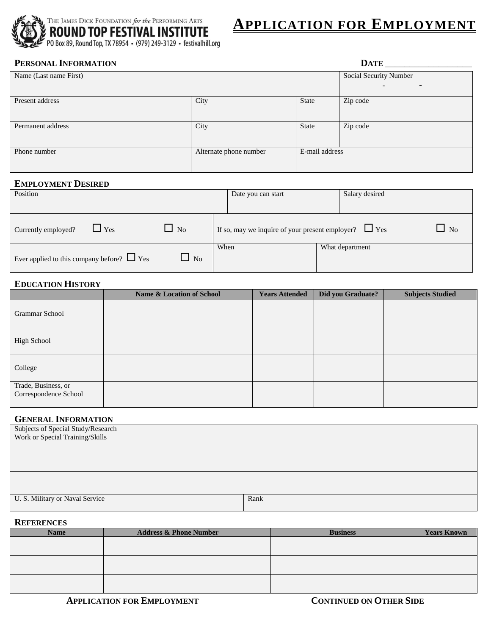

# **APPLICATION FOR EMPLOYMENT**

## **PERSONAL INFORMATION DATE** \_\_\_\_\_\_\_\_\_\_\_\_\_\_\_\_\_\_

| Name (Last name First) |                        |                | Social Security Number                               |  |
|------------------------|------------------------|----------------|------------------------------------------------------|--|
|                        |                        |                | $\overline{\phantom{0}}$<br>$\overline{\phantom{0}}$ |  |
| Present address        | City                   | State          | Zip code                                             |  |
|                        |                        |                |                                                      |  |
| Permanent address      | City                   | State          | Zip code                                             |  |
|                        |                        |                |                                                      |  |
| Phone number           | Alternate phone number | E-mail address |                                                      |  |
|                        |                        |                |                                                      |  |

### **EMPLOYMENT DESIRED**

| Position                                                |      | Date you can start                                                                    |  | Salary desired  |  |
|---------------------------------------------------------|------|---------------------------------------------------------------------------------------|--|-----------------|--|
|                                                         |      |                                                                                       |  |                 |  |
| $\Box$ No<br>Currently employed?<br>$\Box$ Yes          |      | $\Box$ Yes<br>ΙI<br>If so, may we inquire of your present employer?<br>N <sub>0</sub> |  |                 |  |
| Ever applied to this company before? $\Box$ Yes<br>⊿ No | When |                                                                                       |  | What department |  |

## **EDUCATION HISTORY**

|                                              | <b>Name &amp; Location of School</b> | <b>Years Attended</b> | Did you Graduate? | <b>Subjects Studied</b> |
|----------------------------------------------|--------------------------------------|-----------------------|-------------------|-------------------------|
| Grammar School                               |                                      |                       |                   |                         |
| High School                                  |                                      |                       |                   |                         |
| College                                      |                                      |                       |                   |                         |
| Trade, Business, or<br>Correspondence School |                                      |                       |                   |                         |

## **GENERAL INFORMATION**

| Subjects of Special Study/Research<br>Work or Special Training/Skills |      |
|-----------------------------------------------------------------------|------|
|                                                                       |      |
|                                                                       |      |
| U. S. Military or Naval Service                                       | Rank |

## **REFERENCES**

| <b>Name</b> | <b>Address &amp; Phone Number</b> | <b>Business</b> | <b>Years Known</b> |
|-------------|-----------------------------------|-----------------|--------------------|
|             |                                   |                 |                    |
|             |                                   |                 |                    |
|             |                                   |                 |                    |
|             |                                   |                 |                    |
|             |                                   |                 |                    |
|             |                                   |                 |                    |